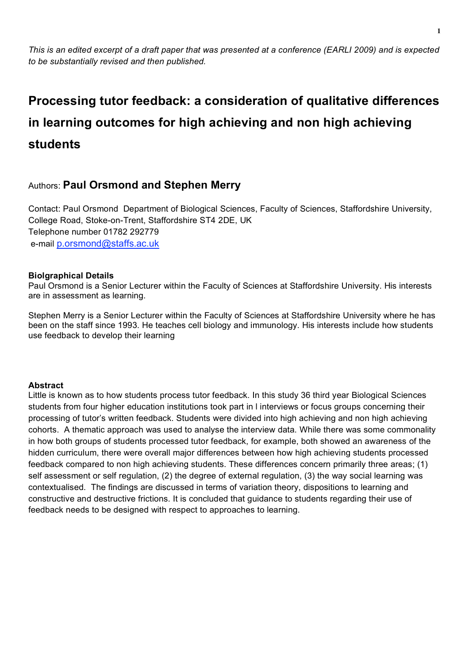*This is an edited excerpt of a draft paper that was presented at a conference (EARLI 2009) and is expected to be substantially revised and then published.*

# **Processing tutor feedback: a consideration of qualitative differences in learning outcomes for high achieving and non high achieving students**

# Authors: **Paul Orsmond and Stephen Merry**

Contact: Paul Orsmond Department of Biological Sciences, Faculty of Sciences, Staffordshire University, College Road, Stoke-on-Trent, Staffordshire ST4 2DE, UK Telephone number 01782 292779 e-mail p.orsmond@staffs.ac.uk

# **Biolgraphical Details**

Paul Orsmond is a Senior Lecturer within the Faculty of Sciences at Staffordshire University. His interests are in assessment as learning.

Stephen Merry is a Senior Lecturer within the Faculty of Sciences at Staffordshire University where he has been on the staff since 1993. He teaches cell biology and immunology. His interests include how students use feedback to develop their learning

# **Abstract**

Little is known as to how students process tutor feedback. In this study 36 third year Biological Sciences students from four higher education institutions took part in l interviews or focus groups concerning their processing of tutor's written feedback. Students were divided into high achieving and non high achieving cohorts. A thematic approach was used to analyse the interview data. While there was some commonality in how both groups of students processed tutor feedback, for example, both showed an awareness of the hidden curriculum, there were overall major differences between how high achieving students processed feedback compared to non high achieving students. These differences concern primarily three areas; (1) self assessment or self regulation, (2) the degree of external regulation, (3) the way social learning was contextualised. The findings are discussed in terms of variation theory, dispositions to learning and constructive and destructive frictions. It is concluded that guidance to students regarding their use of feedback needs to be designed with respect to approaches to learning.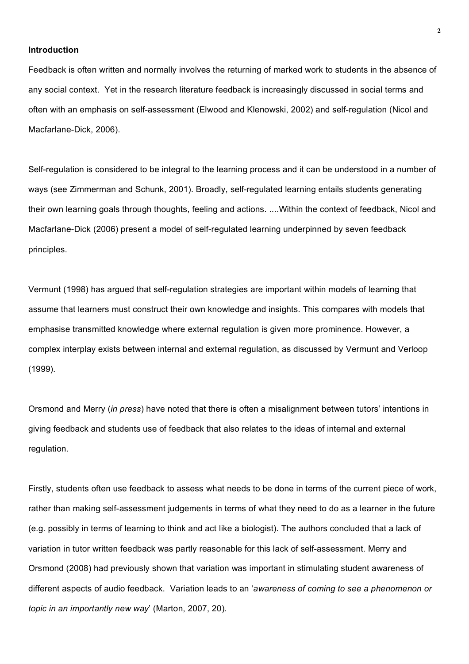#### **Introduction**

Feedback is often written and normally involves the returning of marked work to students in the absence of any social context. Yet in the research literature feedback is increasingly discussed in social terms and often with an emphasis on self-assessment (Elwood and Klenowski, 2002) and self-regulation (Nicol and Macfarlane-Dick, 2006).

Self-regulation is considered to be integral to the learning process and it can be understood in a number of ways (see Zimmerman and Schunk, 2001). Broadly, self-regulated learning entails students generating their own learning goals through thoughts, feeling and actions. ....Within the context of feedback, Nicol and Macfarlane-Dick (2006) present a model of self-regulated learning underpinned by seven feedback principles.

Vermunt (1998) has argued that self-regulation strategies are important within models of learning that assume that learners must construct their own knowledge and insights. This compares with models that emphasise transmitted knowledge where external regulation is given more prominence. However, a complex interplay exists between internal and external regulation, as discussed by Vermunt and Verloop (1999).

Orsmond and Merry (*in press*) have noted that there is often a misalignment between tutors' intentions in giving feedback and students use of feedback that also relates to the ideas of internal and external regulation.

Firstly, students often use feedback to assess what needs to be done in terms of the current piece of work, rather than making self-assessment judgements in terms of what they need to do as a learner in the future (e.g. possibly in terms of learning to think and act like a biologist). The authors concluded that a lack of variation in tutor written feedback was partly reasonable for this lack of self-assessment. Merry and Orsmond (2008) had previously shown that variation was important in stimulating student awareness of different aspects of audio feedback. Variation leads to an '*awareness of coming to see a phenomenon or topic in an importantly new way*' (Marton, 2007, 20).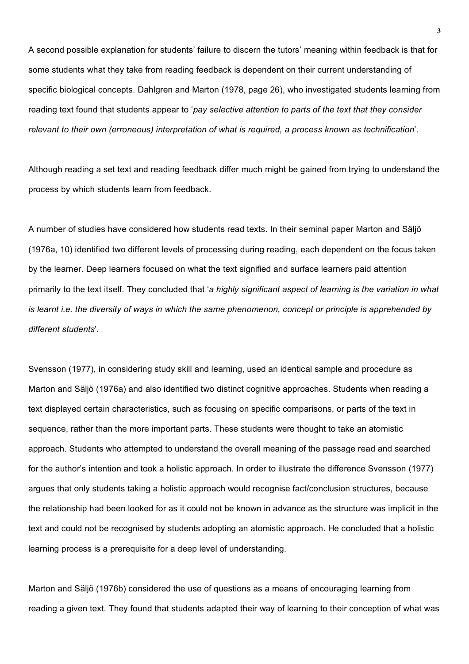A second possible explanation for students' failure to discern the tutors' meaning within feedback is that for some students what they take from reading feedback is dependent on their current understanding of specific biological concepts. Dahlgren and Marton (1978, page 26), who investigated students learning from reading text found that students appear to '*pay selective attention to parts of the text that they consider relevant to their own (erroneous) interpretation of what is required, a process known as technification*'.

Although reading a set text and reading feedback differ much might be gained from trying to understand the process by which students learn from feedback.

A number of studies have considered how students read texts. In their seminal paper Marton and Säljö (1976a, 10) identified two different levels of processing during reading, each dependent on the focus taken by the learner. Deep learners focused on what the text signified and surface learners paid attention primarily to the text itself. They concluded that '*a highly significant aspect of learning is the variation in what is learnt i.e. the diversity of ways in which the same phenomenon, concept or principle is apprehended by different students*'.

Svensson (1977), in considering study skill and learning, used an identical sample and procedure as Marton and Säljö (1976a) and also identified two distinct cognitive approaches. Students when reading a text displayed certain characteristics, such as focusing on specific comparisons, or parts of the text in sequence, rather than the more important parts. These students were thought to take an atomistic approach. Students who attempted to understand the overall meaning of the passage read and searched for the author's intention and took a holistic approach. In order to illustrate the difference Svensson (1977) argues that only students taking a holistic approach would recognise fact/conclusion structures, because the relationship had been looked for as it could not be known in advance as the structure was implicit in the text and could not be recognised by students adopting an atomistic approach. He concluded that a holistic learning process is a prerequisite for a deep level of understanding.

Marton and Säljö (1976b) considered the use of questions as a means of encouraging learning from reading a given text. They found that students adapted their way of learning to their conception of what was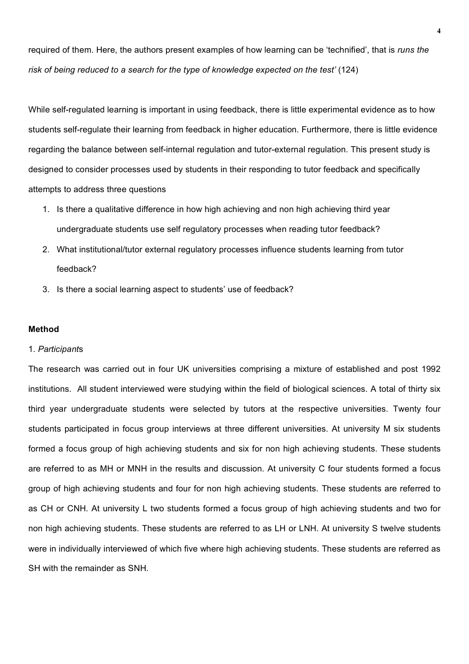required of them. Here, the authors present examples of how learning can be 'technified', that is *runs the risk of being reduced to a search for the type of knowledge expected on the test'* (124)

While self-regulated learning is important in using feedback, there is little experimental evidence as to how students self-regulate their learning from feedback in higher education. Furthermore, there is little evidence regarding the balance between self-internal regulation and tutor-external regulation. This present study is designed to consider processes used by students in their responding to tutor feedback and specifically attempts to address three questions

- 1. Is there a qualitative difference in how high achieving and non high achieving third year undergraduate students use self regulatory processes when reading tutor feedback?
- 2. What institutional/tutor external regulatory processes influence students learning from tutor feedback?
- 3. Is there a social learning aspect to students' use of feedback?

#### **Method**

## 1. *Participant*s

The research was carried out in four UK universities comprising a mixture of established and post 1992 institutions. All student interviewed were studying within the field of biological sciences. A total of thirty six third year undergraduate students were selected by tutors at the respective universities. Twenty four students participated in focus group interviews at three different universities. At university M six students formed a focus group of high achieving students and six for non high achieving students. These students are referred to as MH or MNH in the results and discussion. At university C four students formed a focus group of high achieving students and four for non high achieving students. These students are referred to as CH or CNH. At university L two students formed a focus group of high achieving students and two for non high achieving students. These students are referred to as LH or LNH. At university S twelve students were in individually interviewed of which five where high achieving students. These students are referred as SH with the remainder as SNH.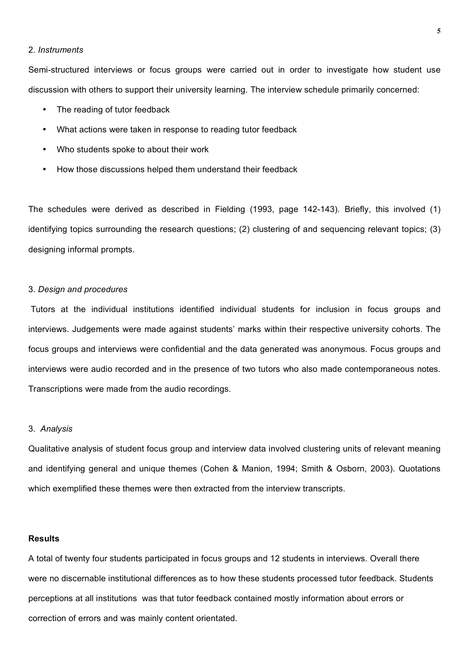## 2. *Instruments*

Semi-structured interviews or focus groups were carried out in order to investigate how student use discussion with others to support their university learning. The interview schedule primarily concerned:

- The reading of tutor feedback
- What actions were taken in response to reading tutor feedback
- Who students spoke to about their work
- How those discussions helped them understand their feedback

The schedules were derived as described in Fielding (1993, page 142-143). Briefly, this involved (1) identifying topics surrounding the research questions; (2) clustering of and sequencing relevant topics; (3) designing informal prompts.

## 3. *Design and procedures*

Tutors at the individual institutions identified individual students for inclusion in focus groups and interviews. Judgements were made against students' marks within their respective university cohorts. The focus groups and interviews were confidential and the data generated was anonymous. Focus groups and interviews were audio recorded and in the presence of two tutors who also made contemporaneous notes. Transcriptions were made from the audio recordings.

#### 3. *Analysis*

Qualitative analysis of student focus group and interview data involved clustering units of relevant meaning and identifying general and unique themes (Cohen & Manion, 1994; Smith & Osborn, 2003). Quotations which exemplified these themes were then extracted from the interview transcripts.

## **Results**

A total of twenty four students participated in focus groups and 12 students in interviews. Overall there were no discernable institutional differences as to how these students processed tutor feedback. Students perceptions at all institutions was that tutor feedback contained mostly information about errors or correction of errors and was mainly content orientated.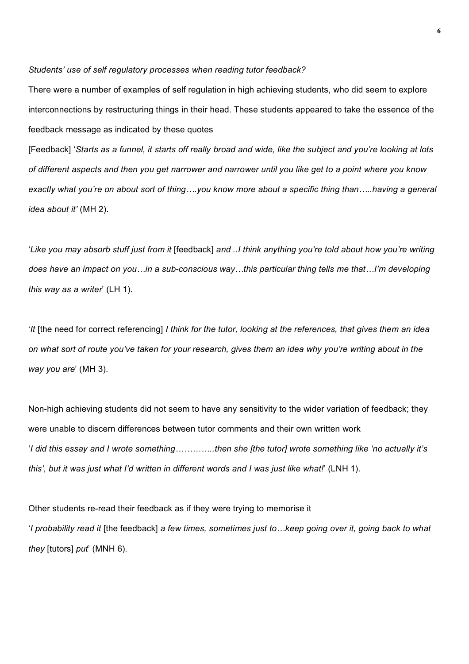#### *Students' use of self regulatory processes when reading tutor feedback?*

There were a number of examples of self regulation in high achieving students, who did seem to explore interconnections by restructuring things in their head. These students appeared to take the essence of the feedback message as indicated by these quotes

[Feedback] '*Starts as a funnel, it starts off really broad and wide, like the subject and you're looking at lots of different aspects and then you get narrower and narrower until you like get to a point where you know exactly what you're on about sort of thing….you know more about a specific thing than…..having a general idea about it'* (MH 2).

'*Like you may absorb stuff just from it* [feedback] *and ..I think anything you're told about how you're writing does have an impact on you…in a sub-conscious way…this particular thing tells me that…I'm developing this way as a writer*' (LH 1).

'*It* [the need for correct referencing] *I think for the tutor, looking at the references, that gives them an idea on what sort of route you've taken for your research, gives them an idea why you're writing about in the way you are*' (MH 3).

Non-high achieving students did not seem to have any sensitivity to the wider variation of feedback; they were unable to discern differences between tutor comments and their own written work '*I did this essay and I wrote something…………..then she [the tutor] wrote something like 'no actually it's this', but it was just what I'd written in different words and I was just like what!*' (LNH 1).

Other students re-read their feedback as if they were trying to memorise it '*I probability read it* [the feedback] *a few times, sometimes just to…keep going over it, going back to what they* [tutors] *put*' (MNH 6).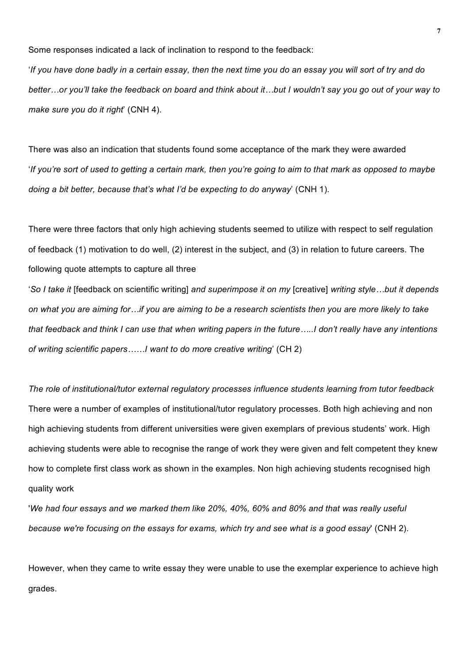Some responses indicated a lack of inclination to respond to the feedback:

'*If you have done badly in a certain essay, then the next time you do an essay you will sort of try and do better…or you'll take the feedback on board and think about it…but I wouldn't say you go out of your way to make sure you do it right*' (CNH 4).

There was also an indication that students found some acceptance of the mark they were awarded '*If you're sort of used to getting a certain mark, then you're going to aim to that mark as opposed to maybe doing a bit better, because that's what I'd be expecting to do anyway*' (CNH 1).

There were three factors that only high achieving students seemed to utilize with respect to self regulation of feedback (1) motivation to do well, (2) interest in the subject, and (3) in relation to future careers. The following quote attempts to capture all three

'*So I take it* [feedback on scientific writing] *and superimpose it on my* [creative] *writing style…but it depends on what you are aiming for…if you are aiming to be a research scientists then you are more likely to take that feedback and think I can use that when writing papers in the future…..I don't really have any intentions of writing scientific papers……I want to do more creative writing*' (CH 2)

*The role of institutional/tutor external regulatory processes influence students learning from tutor feedback* There were a number of examples of institutional/tutor regulatory processes. Both high achieving and non high achieving students from different universities were given exemplars of previous students' work. High achieving students were able to recognise the range of work they were given and felt competent they knew how to complete first class work as shown in the examples. Non high achieving students recognised high quality work

'*We had four essays and we marked them like 20%, 40%, 60% and 80% and that was really useful because we're focusing on the essays for exams, which try and see what is a good essay*' (CNH 2).

However, when they came to write essay they were unable to use the exemplar experience to achieve high grades.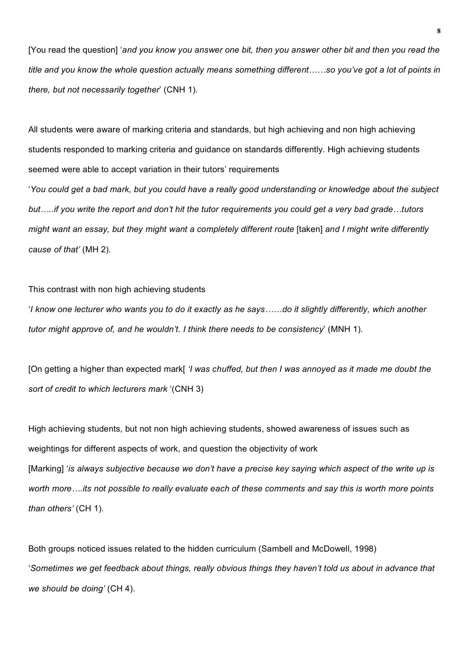[You read the question] '*and you know you answer one bit, then you answer other bit and then you read the title and you know the whole question actually means something different……so you've got a lot of points in there, but not necessarily together*' (CNH 1).

All students were aware of marking criteria and standards, but high achieving and non high achieving students responded to marking criteria and guidance on standards differently. High achieving students seemed were able to accept variation in their tutors' requirements '*You could get a bad mark, but you could have a really good understanding or knowledge about the subject but…..if you write the report and don't hit the tutor requirements you could get a very bad grade…tutors might want an essay, but they might want a completely different route* [taken] *and I might write differently cause of that'* (MH 2).

#### This contrast with non high achieving students

'*I know one lecturer who wants you to do it exactly as he says……do it slightly differently, which another tutor might approve of, and he wouldn't. I think there needs to be consistency*' (MNH 1).

[On getting a higher than expected mark[ *'I was chuffed, but then I was annoyed as it made me doubt the sort of credit to which lecturers mark* '(CNH 3)

High achieving students, but not non high achieving students, showed awareness of issues such as weightings for different aspects of work, and question the objectivity of work [Marking] '*is always subjective because we don't have a precise key saying which aspect of the write up is worth more….its not possible to really evaluate each of these comments and say this is worth more points than others'* (CH 1).

Both groups noticed issues related to the hidden curriculum (Sambell and McDowell, 1998) '*Sometimes we get feedback about things, really obvious things they haven't told us about in advance that we should be doing'* (CH 4).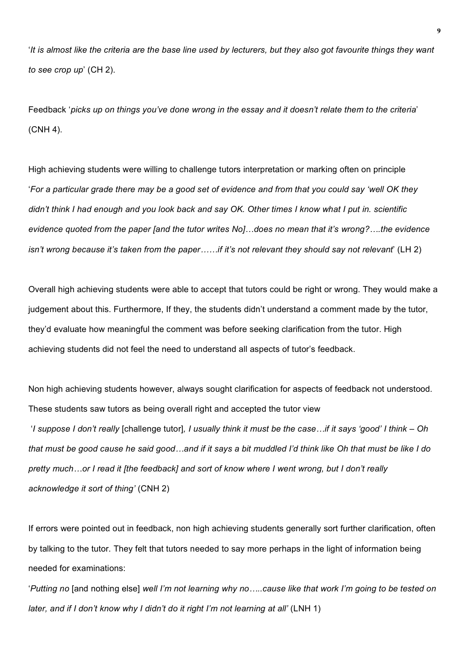'*It is almost like the criteria are the base line used by lecturers, but they also got favourite things they want to see crop up*' (CH 2).

Feedback '*picks up on things you've done wrong in the essay and it doesn't relate them to the criteria*' (CNH 4).

High achieving students were willing to challenge tutors interpretation or marking often on principle '*For a particular grade there may be a good set of evidence and from that you could say 'well OK they didn't think I had enough and you look back and say OK. Other times I know what I put in. scientific evidence quoted from the paper [and the tutor writes No]…does no mean that it's wrong?….the evidence isn't wrong because it's taken from the paper……if it's not relevant they should say not relevant*' (LH 2)

Overall high achieving students were able to accept that tutors could be right or wrong. They would make a judgement about this. Furthermore, If they, the students didn't understand a comment made by the tutor, they'd evaluate how meaningful the comment was before seeking clarification from the tutor. High achieving students did not feel the need to understand all aspects of tutor's feedback.

Non high achieving students however, always sought clarification for aspects of feedback not understood. These students saw tutors as being overall right and accepted the tutor view 'I suppose I don't really [challenge tutor]. I usually think it must be the case...if it says 'good' I think – Oh *that must be good cause he said good…and if it says a bit muddled I'd think like Oh that must be like I do pretty much…or I read it [the feedback] and sort of know where I went wrong, but I don't really acknowledge it sort of thing'* (CNH 2)

If errors were pointed out in feedback, non high achieving students generally sort further clarification, often by talking to the tutor. They felt that tutors needed to say more perhaps in the light of information being needed for examinations:

'*Putting no* [and nothing else] *well I'm not learning why no…..cause like that work I'm going to be tested on later, and if I don't know why I didn't do it right I'm not learning at all'* (LNH 1)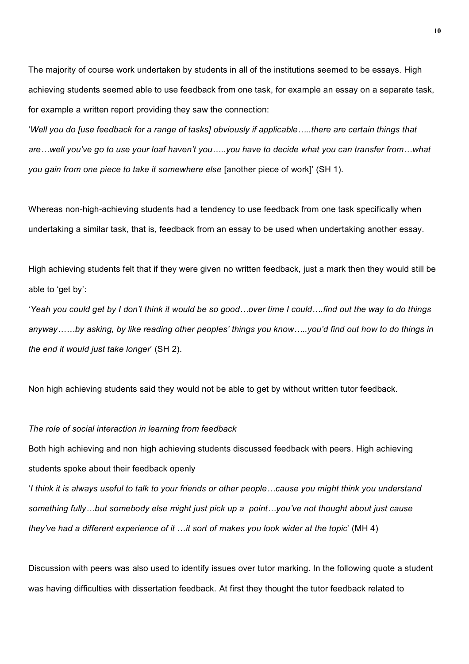The majority of course work undertaken by students in all of the institutions seemed to be essays. High achieving students seemed able to use feedback from one task, for example an essay on a separate task, for example a written report providing they saw the connection:

'*Well you do [use feedback for a range of tasks] obviously if applicable…..there are certain things that are…well you've go to use your loaf haven't you…..you have to decide what you can transfer from…what you gain from one piece to take it somewhere else* [another piece of work]' (SH 1).

Whereas non-high-achieving students had a tendency to use feedback from one task specifically when undertaking a similar task, that is, feedback from an essay to be used when undertaking another essay.

High achieving students felt that if they were given no written feedback, just a mark then they would still be able to 'get by':

'*Yeah you could get by I don't think it would be so good…over time I could….find out the way to do things anyway……by asking, by like reading other peoples' things you know…..you'd find out how to do things in the end it would just take longer*' (SH 2).

Non high achieving students said they would not be able to get by without written tutor feedback.

#### *The role of social interaction in learning from feedback*

Both high achieving and non high achieving students discussed feedback with peers. High achieving students spoke about their feedback openly

'*I think it is always useful to talk to your friends or other people…cause you might think you understand something fully…but somebody else might just pick up a point…you've not thought about just cause they've had a different experience of it* …*it sort of makes you look wider at the topic*' (MH 4)

Discussion with peers was also used to identify issues over tutor marking. In the following quote a student was having difficulties with dissertation feedback. At first they thought the tutor feedback related to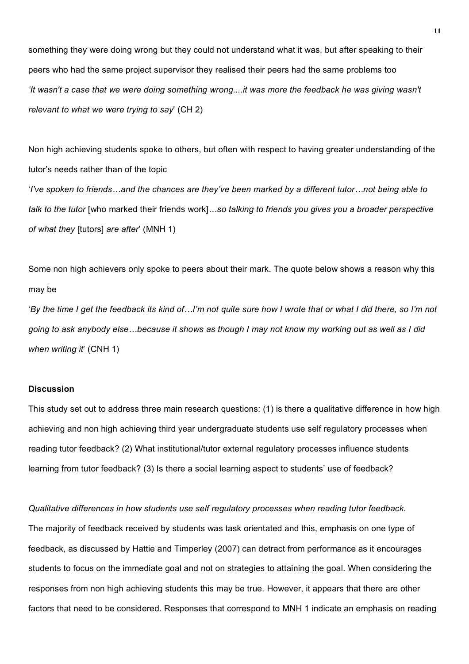something they were doing wrong but they could not understand what it was, but after speaking to their peers who had the same project supervisor they realised their peers had the same problems too *'It wasn't a case that we were doing something wrong....it was more the feedback he was giving wasn't relevant to what we were trying to say*' (CH 2)

Non high achieving students spoke to others, but often with respect to having greater understanding of the tutor's needs rather than of the topic '*I've spoken to friends…and the chances are they've been marked by a different tutor…not being able to talk to the tutor* [who marked their friends work]*…so talking to friends you gives you a broader perspective of what they* [tutors] *are after*' (MNH 1)

Some non high achievers only spoke to peers about their mark. The quote below shows a reason why this may be

'*By the time I get the feedback its kind of…I'm not quite sure how I wrote that or what I did there, so I'm not going to ask anybody else…because it shows as though I may not know my working out as well as I did when writing it*' (CNH 1)

#### **Discussion**

This study set out to address three main research questions: (1) is there a qualitative difference in how high achieving and non high achieving third year undergraduate students use self regulatory processes when reading tutor feedback? (2) What institutional/tutor external regulatory processes influence students learning from tutor feedback? (3) Is there a social learning aspect to students' use of feedback?

*Qualitative differences in how students use self regulatory processes when reading tutor feedback.* The majority of feedback received by students was task orientated and this, emphasis on one type of feedback, as discussed by Hattie and Timperley (2007) can detract from performance as it encourages students to focus on the immediate goal and not on strategies to attaining the goal. When considering the responses from non high achieving students this may be true. However, it appears that there are other factors that need to be considered. Responses that correspond to MNH 1 indicate an emphasis on reading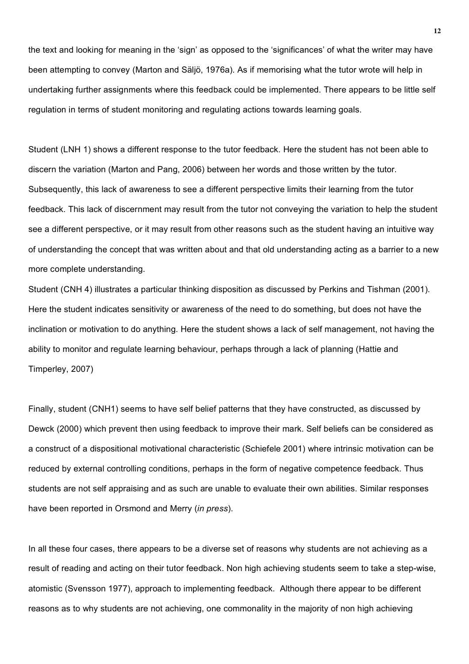the text and looking for meaning in the 'sign' as opposed to the 'significances' of what the writer may have been attempting to convey (Marton and Säljö, 1976a). As if memorising what the tutor wrote will help in undertaking further assignments where this feedback could be implemented. There appears to be little self regulation in terms of student monitoring and regulating actions towards learning goals.

Student (LNH 1) shows a different response to the tutor feedback. Here the student has not been able to discern the variation (Marton and Pang, 2006) between her words and those written by the tutor. Subsequently, this lack of awareness to see a different perspective limits their learning from the tutor feedback. This lack of discernment may result from the tutor not conveying the variation to help the student see a different perspective, or it may result from other reasons such as the student having an intuitive way of understanding the concept that was written about and that old understanding acting as a barrier to a new more complete understanding.

Student (CNH 4) illustrates a particular thinking disposition as discussed by Perkins and Tishman (2001). Here the student indicates sensitivity or awareness of the need to do something, but does not have the inclination or motivation to do anything. Here the student shows a lack of self management, not having the ability to monitor and regulate learning behaviour, perhaps through a lack of planning (Hattie and Timperley, 2007)

Finally, student (CNH1) seems to have self belief patterns that they have constructed, as discussed by Dewck (2000) which prevent then using feedback to improve their mark. Self beliefs can be considered as a construct of a dispositional motivational characteristic (Schiefele 2001) where intrinsic motivation can be reduced by external controlling conditions, perhaps in the form of negative competence feedback. Thus students are not self appraising and as such are unable to evaluate their own abilities. Similar responses have been reported in Orsmond and Merry (*in press*).

In all these four cases, there appears to be a diverse set of reasons why students are not achieving as a result of reading and acting on their tutor feedback. Non high achieving students seem to take a step-wise, atomistic (Svensson 1977), approach to implementing feedback. Although there appear to be different reasons as to why students are not achieving, one commonality in the majority of non high achieving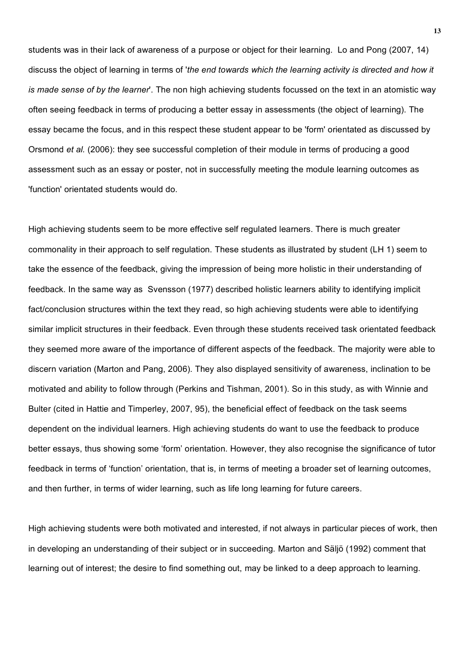students was in their lack of awareness of a purpose or object for their learning. Lo and Pong (2007, 14) discuss the object of learning in terms of '*the end towards which the learning activity is directed and how it is made sense of by the learner*'. The non high achieving students focussed on the text in an atomistic way often seeing feedback in terms of producing a better essay in assessments (the object of learning). The essay became the focus, and in this respect these student appear to be 'form' orientated as discussed by Orsmond *et al.* (2006): they see successful completion of their module in terms of producing a good assessment such as an essay or poster, not in successfully meeting the module learning outcomes as 'function' orientated students would do.

High achieving students seem to be more effective self regulated learners. There is much greater commonality in their approach to self regulation. These students as illustrated by student (LH 1) seem to take the essence of the feedback, giving the impression of being more holistic in their understanding of feedback. In the same way as Svensson (1977) described holistic learners ability to identifying implicit fact/conclusion structures within the text they read, so high achieving students were able to identifying similar implicit structures in their feedback. Even through these students received task orientated feedback they seemed more aware of the importance of different aspects of the feedback. The majority were able to discern variation (Marton and Pang, 2006). They also displayed sensitivity of awareness, inclination to be motivated and ability to follow through (Perkins and Tishman, 2001). So in this study, as with Winnie and Bulter (cited in Hattie and Timperley, 2007, 95), the beneficial effect of feedback on the task seems dependent on the individual learners. High achieving students do want to use the feedback to produce better essays, thus showing some 'form' orientation. However, they also recognise the significance of tutor feedback in terms of 'function' orientation, that is, in terms of meeting a broader set of learning outcomes, and then further, in terms of wider learning, such as life long learning for future careers.

High achieving students were both motivated and interested, if not always in particular pieces of work, then in developing an understanding of their subject or in succeeding. Marton and Säljö (1992) comment that learning out of interest; the desire to find something out, may be linked to a deep approach to learning.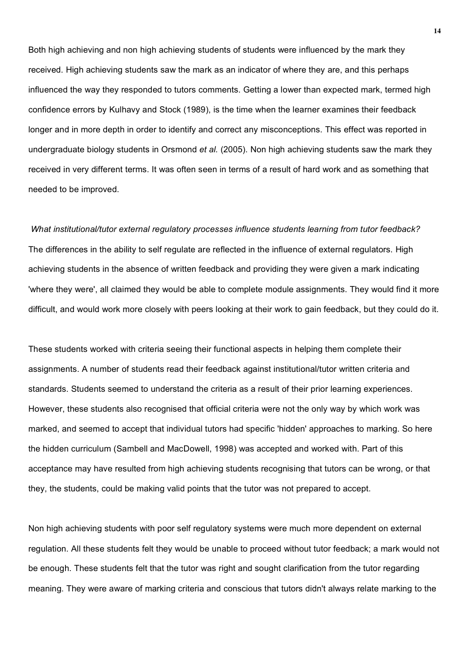Both high achieving and non high achieving students of students were influenced by the mark they received. High achieving students saw the mark as an indicator of where they are, and this perhaps influenced the way they responded to tutors comments. Getting a lower than expected mark, termed high confidence errors by Kulhavy and Stock (1989), is the time when the learner examines their feedback longer and in more depth in order to identify and correct any misconceptions. This effect was reported in undergraduate biology students in Orsmond *et al.* (2005). Non high achieving students saw the mark they received in very different terms. It was often seen in terms of a result of hard work and as something that needed to be improved.

*What institutional/tutor external regulatory processes influence students learning from tutor feedback?*  The differences in the ability to self regulate are reflected in the influence of external regulators. High achieving students in the absence of written feedback and providing they were given a mark indicating 'where they were', all claimed they would be able to complete module assignments. They would find it more difficult, and would work more closely with peers looking at their work to gain feedback, but they could do it.

These students worked with criteria seeing their functional aspects in helping them complete their assignments. A number of students read their feedback against institutional/tutor written criteria and standards. Students seemed to understand the criteria as a result of their prior learning experiences. However, these students also recognised that official criteria were not the only way by which work was marked, and seemed to accept that individual tutors had specific 'hidden' approaches to marking. So here the hidden curriculum (Sambell and MacDowell, 1998) was accepted and worked with. Part of this acceptance may have resulted from high achieving students recognising that tutors can be wrong, or that they, the students, could be making valid points that the tutor was not prepared to accept.

Non high achieving students with poor self regulatory systems were much more dependent on external regulation. All these students felt they would be unable to proceed without tutor feedback; a mark would not be enough. These students felt that the tutor was right and sought clarification from the tutor regarding meaning. They were aware of marking criteria and conscious that tutors didn't always relate marking to the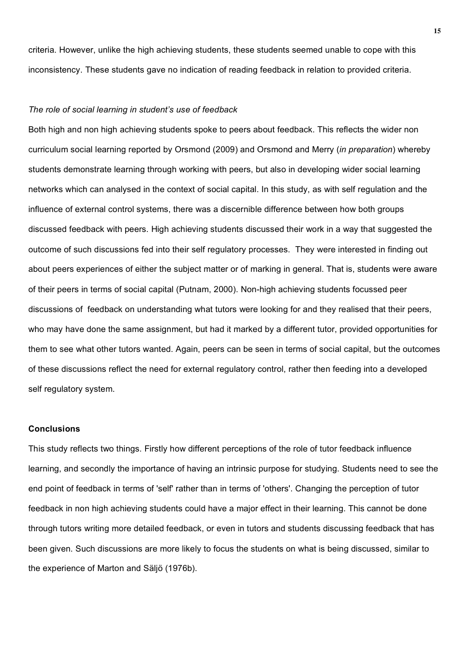criteria. However, unlike the high achieving students, these students seemed unable to cope with this inconsistency. These students gave no indication of reading feedback in relation to provided criteria.

## *The role of social learning in student's use of feedback*

Both high and non high achieving students spoke to peers about feedback. This reflects the wider non curriculum social learning reported by Orsmond (2009) and Orsmond and Merry (*in preparation*) whereby students demonstrate learning through working with peers, but also in developing wider social learning networks which can analysed in the context of social capital. In this study, as with self regulation and the influence of external control systems, there was a discernible difference between how both groups discussed feedback with peers. High achieving students discussed their work in a way that suggested the outcome of such discussions fed into their self regulatory processes. They were interested in finding out about peers experiences of either the subject matter or of marking in general. That is, students were aware of their peers in terms of social capital (Putnam, 2000). Non-high achieving students focussed peer discussions of feedback on understanding what tutors were looking for and they realised that their peers, who may have done the same assignment, but had it marked by a different tutor, provided opportunities for them to see what other tutors wanted. Again, peers can be seen in terms of social capital, but the outcomes of these discussions reflect the need for external regulatory control, rather then feeding into a developed self regulatory system.

## **Conclusions**

This study reflects two things. Firstly how different perceptions of the role of tutor feedback influence learning, and secondly the importance of having an intrinsic purpose for studying. Students need to see the end point of feedback in terms of 'self' rather than in terms of 'others'. Changing the perception of tutor feedback in non high achieving students could have a major effect in their learning. This cannot be done through tutors writing more detailed feedback, or even in tutors and students discussing feedback that has been given. Such discussions are more likely to focus the students on what is being discussed, similar to the experience of Marton and Säljö (1976b).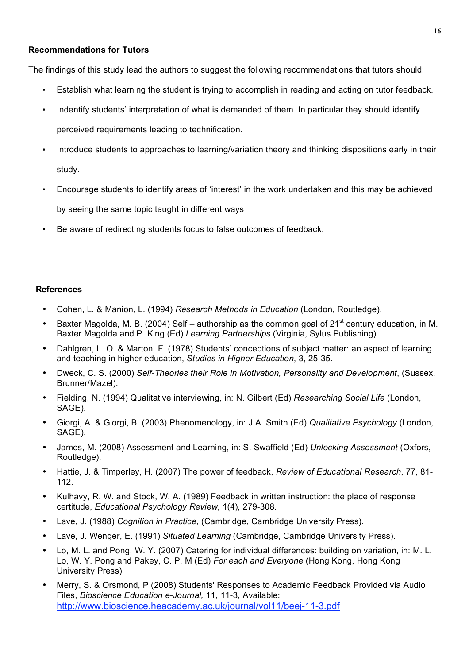# **Recommendations for Tutors**

The findings of this study lead the authors to suggest the following recommendations that tutors should:

- Establish what learning the student is trying to accomplish in reading and acting on tutor feedback.
- Indentify students' interpretation of what is demanded of them. In particular they should identify perceived requirements leading to technification.
- Introduce students to approaches to learning/variation theory and thinking dispositions early in their study.
- Encourage students to identify areas of 'interest' in the work undertaken and this may be achieved by seeing the same topic taught in different ways
- Be aware of redirecting students focus to false outcomes of feedback.

# **References**

- Cohen, L. & Manion, L. (1994) *Research Methods in Education* (London, Routledge).
- Baxter Magolda, M. B. (2004) Self authorship as the common goal of  $21^{st}$  century education, in M. Baxter Magolda and P. King (Ed) *Learning Partnerships* (Virginia, Sylus Publishing).
- Dahlgren, L. O. & Marton, F. (1978) Students' conceptions of subject matter: an aspect of learning and teaching in higher education, *Studies in Higher Education*, 3, 25-35.
- Dweck, C. S. (2000) *Self-Theories their Role in Motivation, Personality and Development*, (Sussex, Brunner/Mazel).
- Fielding, N. (1994) Qualitative interviewing, in: N. Gilbert (Ed) *Researching Social Life* (London, SAGE).
- Giorgi, A. & Giorgi, B. (2003) Phenomenology, in: J.A. Smith (Ed) *Qualitative Psychology* (London, SAGE).
- James, M. (2008) Assessment and Learning, in: S. Swaffield (Ed) *Unlocking Assessment* (Oxfors, Routledge).
- Hattie, J. & Timperley, H. (2007) The power of feedback, *Review of Educational Research*, 77, 81- 112.
- Kulhavy, R. W. and Stock, W. A. (1989) Feedback in written instruction: the place of response certitude, *Educational Psychology Review*, 1(4), 279-308.
- Lave, J. (1988) *Cognition in Practice*, (Cambridge, Cambridge University Press).
- Lave, J. Wenger, E. (1991) *Situated Learning* (Cambridge, Cambridge University Press).
- Lo, M. L. and Pong, W. Y. (2007) Catering for individual differences: building on variation, in: M. L. Lo, W. Y. Pong and Pakey, C. P. M (Ed) *For each and Everyone* (Hong Kong, Hong Kong University Press)
- Merry, S. & Orsmond, P (2008) Students' Responses to Academic Feedback Provided via Audio Files, *Bioscience Education e-Journal,* 11, 11-3, Available: http://www.bioscience.heacademy.ac.uk/journal/vol11/beej-11-3.pdf